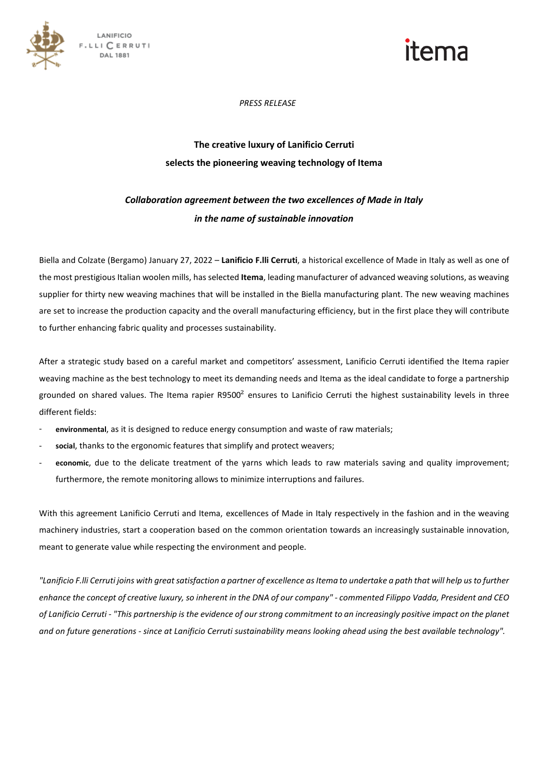

## *PRESS RELEASE*

# **The creative luxury of Lanificio Cerruti selects the pioneering weaving technology of Itema**

# *Collaboration agreement between the two excellences of Made in Italy in the name of sustainable innovation*

Biella and Colzate (Bergamo) January 27, 2022 – **Lanificio F.lli Cerruti**, a historical excellence of Made in Italy as well as one of the most prestigious Italian woolen mills, has selected **Itema**, leading manufacturer of advanced weaving solutions, as weaving supplier for thirty new weaving machines that will be installed in the Biella manufacturing plant. The new weaving machines are set to increase the production capacity and the overall manufacturing efficiency, but in the first place they will contribute to further enhancing fabric quality and processes sustainability.

After a strategic study based on a careful market and competitors' assessment, Lanificio Cerruti identified the Itema rapier weaving machine as the best technology to meet its demanding needs and Itema as the ideal candidate to forge a partnership grounded on shared values. The Itema rapier R9500 $^2$  ensures to Lanificio Cerruti the highest sustainability levels in three different fields:

- **environmental**, as it is designed to reduce energy consumption and waste of raw materials;
- social, thanks to the ergonomic features that simplify and protect weavers;
- economic, due to the delicate treatment of the yarns which leads to raw materials saving and quality improvement; furthermore, the remote monitoring allows to minimize interruptions and failures.

With this agreement Lanificio Cerruti and Itema, excellences of Made in Italy respectively in the fashion and in the weaving machinery industries, start a cooperation based on the common orientation towards an increasingly sustainable innovation, meant to generate value while respecting the environment and people.

*"Lanificio F.lli Cerruti joins with great satisfaction a partner of excellence as Itema to undertake a path that will help us to further enhance the concept of creative luxury, so inherent in the DNA of our company" - commented Filippo Vadda, President and CEO of Lanificio Cerruti - "This partnership is the evidence of our strong commitment to an increasingly positive impact on the planet and on future generations - since at Lanificio Cerruti sustainability means looking ahead using the best available technology".*